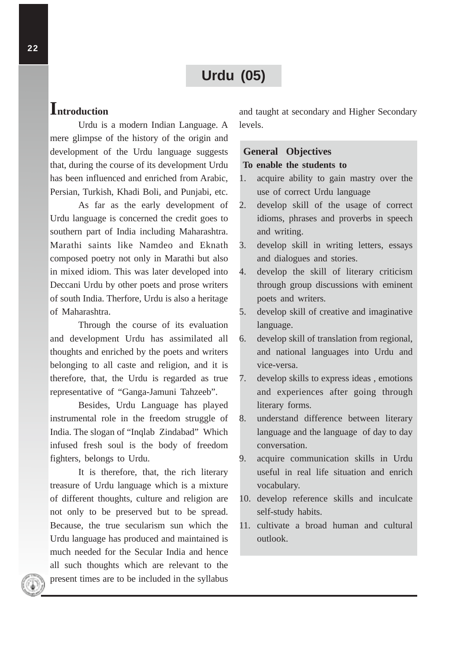# **Urdu (05)**

# **Introduction**

Urdu is a modern Indian Language. A mere glimpse of the history of the origin and development of the Urdu language suggests that, during the course of its development Urdu has been influenced and enriched from Arabic, Persian, Turkish, Khadi Boli, and Punjabi, etc.

As far as the early development of Urdu language is concerned the credit goes to southern part of India including Maharashtra. Marathi saints like Namdeo and Eknath composed poetry not only in Marathi but also in mixed idiom. This was later developed into Deccani Urdu by other poets and prose writers of south India. Therfore, Urdu is also a heritage of Maharashtra.

Through the course of its evaluation and development Urdu has assimilated all thoughts and enriched by the poets and writers belonging to all caste and religion, and it is therefore, that, the Urdu is regarded as true representative of "Ganga-Jamuni Tahzeeb".

Besides, Urdu Language has played instrumental role in the freedom struggle of India. The slogan of "Inqlab Zindabad" Which infused fresh soul is the body of freedom fighters, belongs to Urdu.

It is therefore, that, the rich literary treasure of Urdu language which is a mixture of different thoughts, culture and religion are not only to be preserved but to be spread. Because, the true secularism sun which the Urdu language has produced and maintained is much needed for the Secular India and hence all such thoughts which are relevant to the present times are to be included in the syllabus

and taught at secondary and Higher Secondary levels.

# **General Objectives To enable the students to**

- 1. acquire ability to gain mastry over the use of correct Urdu language
- 2. develop skill of the usage of correct idioms, phrases and proverbs in speech and writing.
- 3. develop skill in writing letters, essays and dialogues and stories.
- 4. develop the skill of literary criticism through group discussions with eminent poets and writers.
- 5. develop skill of creative and imaginative language.
- 6. develop skill of translation from regional, and national languages into Urdu and vice-versa.
- 7. develop skills to express ideas , emotions and experiences after going through literary forms.
- 8. understand difference between literary language and the language of day to day conversation.
- 9. acquire communication skills in Urdu useful in real life situation and enrich vocabulary.
- 10. develop reference skills and inculcate self-study habits.
- 11. cultivate a broad human and cultural outlook.

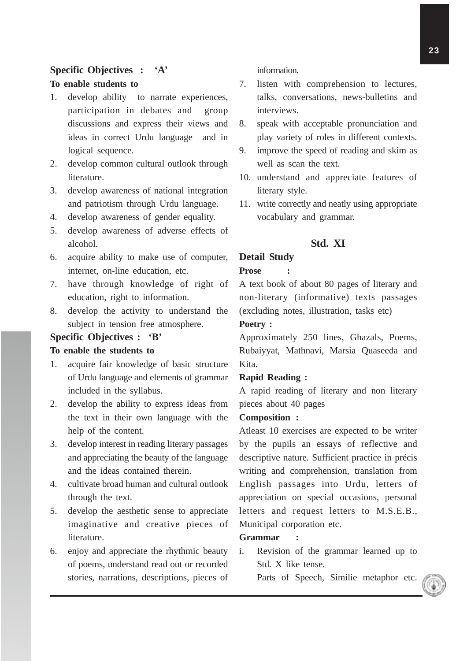## **Specific Objectives : 'A'**

## **To enable students to**

- 1. develop ability to narrate experiences, participation in debates and group discussions and express their views and ideas in correct Urdu language and in logical sequence.
- 2. develop common cultural outlook through literature.
- 3. develop awareness of national integration and patriotism through Urdu language.
- 4. develop awareness of gender equality.
- 5. develop awareness of adverse effects of alcohol.
- 6. acquire ability to make use of computer, internet, on-line education, etc.
- 7. have through knowledge of right of education, right to information.
- 8. develop the activity to understand the subject in tension free atmosphere.

## **Specific Objectives : 'B'**

## **To enable the students to**

- 1. acquire fair knowledge of basic structure of Urdu language and elements of grammar included in the syllabus.
- 2. develop the ability to express ideas from the text in their own language with the help of the content.
- 3. develop interest in reading literary passages and appreciating the beauty of the language and the ideas contained therein.
- 4. cultivate broad human and cultural outlook through the text.
- 5. develop the aesthetic sense to appreciate imaginative and creative pieces of literature.
- 6. enjoy and appreciate the rhythmic beauty of poems, understand read out or recorded stories, narrations, descriptions, pieces of

information.

- 7. listen with comprehension to lectures, talks, conversations, news-bulletins and interviews.
- 8. speak with acceptable pronunciation and play variety of roles in different contexts.
- 9. improve the speed of reading and skim as well as scan the text.
- 10. understand and appreciate features of literary style.
- 11. write correctly and neatly using appropriate vocabulary and grammar.

### **Std. XI**

#### **Detail Study**

#### **Prose :**

A text book of about 80 pages of literary and non-literary (informative) texts passages (excluding notes, illustration, tasks etc)

**Poetry :**

Approximately 250 lines, Ghazals, Poems, Rubaiyyat, Mathnavi, Marsia Quaseeda and Kita.

#### **Rapid Reading :**

A rapid reading of literary and non literary pieces about 40 pages

#### **Composition :**

Atleast 10 exercises are expected to be writer by the pupils an essays of reflective and descriptive nature. Sufficient practice in précis writing and comprehension, translation from English passages into Urdu, letters of appreciation on special occasions, personal letters and request letters to M.S.E.B., Municipal corporation etc.

#### **Grammar :**

i. Revision of the grammar learned up to Std. X like tense.

Parts of Speech, Similie metaphor etc.